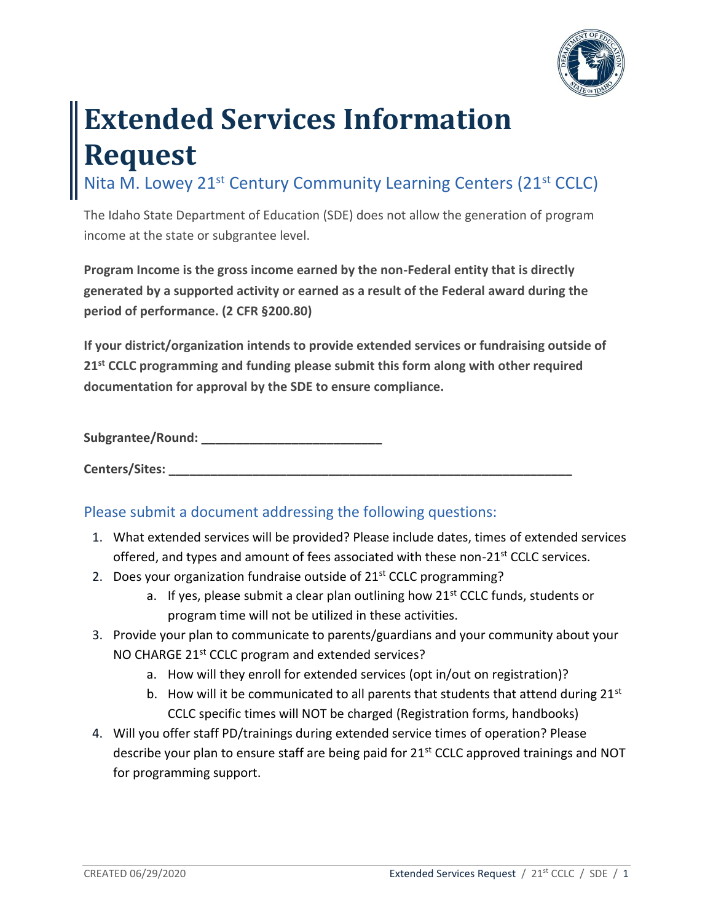

## **Extended Services Information Request**

Nita M. Lowey 21<sup>st</sup> Century Community Learning Centers (21<sup>st</sup> CCLC)

The Idaho State Department of Education (SDE) does not allow the generation of program income at the state or subgrantee level.

**Program Income is the gross income earned by the non-Federal entity that is directly generated by a supported activity or earned as a result of the Federal award during the period of performance. (2 CFR §200.80)** 

**If your district/organization intends to provide extended services or fundraising outside of 21st CCLC programming and funding please submit this form along with other required documentation for approval by the SDE to ensure compliance.** 

Subgrantee/Round:

Centers/Sites:

## Please submit a document addressing the following questions:

- 1. What extended services will be provided? Please include dates, times of extended services offered, and types and amount of fees associated with these non-21<sup>st</sup> CCLC services.
- 2. Does your organization fundraise outside of  $21<sup>st</sup>$  CCLC programming?
	- a. If yes, please submit a clear plan outlining how  $21<sup>st</sup>$  CCLC funds, students or program time will not be utilized in these activities.
- 3. Provide your plan to communicate to parents/guardians and your community about your NO CHARGE 21st CCLC program and extended services?
	- a. How will they enroll for extended services (opt in/out on registration)?
	- b. How will it be communicated to all parents that students that attend during  $21^{st}$ CCLC specific times will NOT be charged (Registration forms, handbooks)
- 4. Will you offer staff PD/trainings during extended service times of operation? Please describe your plan to ensure staff are being paid for 21<sup>st</sup> CCLC approved trainings and NOT for programming support.